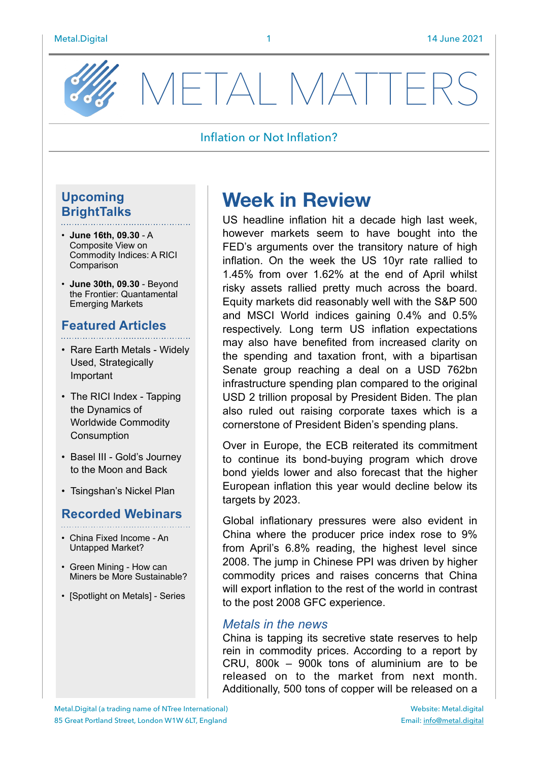

VETAL MATTE

#### Inflation or Not Inflation?

### **Upcoming BrightTalks**

- **June 16th, 09.30** A Composite View on Commodity Indices: A RICI Comparison
- **June 30th, 09.30** Beyond the Frontier: Quantamental Emerging Markets

### **Featured Articles**

- Rare Earth Metals Widely Used, Strategically Important
- The RICI Index Tapping the Dynamics of Worldwide Commodity Consumption
- Basel III Gold's Journey to the Moon and Back
- Tsingshan's Nickel Plan

#### **Recorded Webinars**

- China Fixed Income An Untapped Market?
- Green Mining How can Miners be More Sustainable?
- [Spotlight on Metals] Series

# **Week in Review**

US headline inflation hit a decade high last week, however markets seem to have bought into the FED's arguments over the transitory nature of high inflation. On the week the US 10yr rate rallied to 1.45% from over 1.62% at the end of April whilst risky assets rallied pretty much across the board. Equity markets did reasonably well with the S&P 500 and MSCI World indices gaining 0.4% and 0.5% respectively. Long term US inflation expectations may also have benefited from increased clarity on the spending and taxation front, with a bipartisan Senate group reaching a deal on a USD 762bn infrastructure spending plan compared to the original USD 2 trillion proposal by President Biden. The plan also ruled out raising corporate taxes which is a cornerstone of President Biden's spending plans.

Over in Europe, the ECB reiterated its commitment to continue its bond-buying program which drove bond yields lower and also forecast that the higher European inflation this year would decline below its targets by 2023.

Global inflationary pressures were also evident in China where the producer price index rose to 9% from April's 6.8% reading, the highest level since 2008. The jump in Chinese PPI was driven by higher commodity prices and raises concerns that China will export inflation to the rest of the world in contrast to the post 2008 GFC experience.

#### *Metals in the news*

China is tapping its secretive state reserves to help rein in commodity prices. According to a report by CRU, 800k – 900k tons of aluminium are to be released on to the market from next month. Additionally, 500 tons of copper will be released on a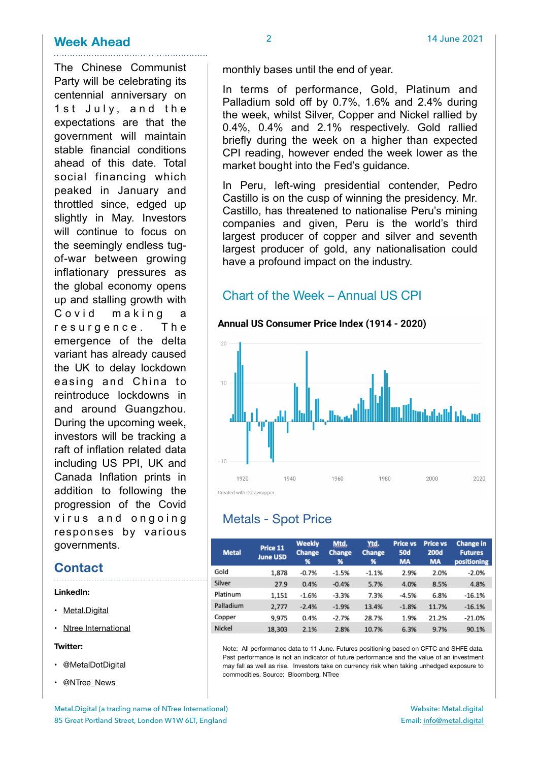### **Week Ahead**  $\frac{2}{14}$  June 2021

The Chinese Communist Party will be celebrating its centennial anniversary on 1st July, and the expectations are that the government will maintain stable financial conditions ahead of this date. Total social financing which

peaked in January and throttled since, edged up slightly in May. Investors will continue to focus on the seemingly endless tugof-war between growing inflationary pressures as the global economy opens up and stalling growth with Covid making a resurgence. The emergence of the delta variant has already caused the UK to delay lockdown easing and China to reintroduce lockdowns in and around Guangzhou. During the upcoming week, investors will be tracking a raft of inflation related data including US PPI, UK and Canada Inflation prints in addition to following the progression of the Covid virus and ongoing responses by various governments.

### **Contact**

**LinkedIn:** 

- [Metal.Digital](https://www.linkedin.com/company/metal-digital/)
- Ntree International

**Twitter:** 

- @MetalDotDigital
- @NTree\_News

In terms of performance, Gold, Platinum and Palladium sold off by 0.7%, 1.6% and 2.4% during the week, whilst Silver, Copper and Nickel rallied by 0.4%, 0.4% and 2.1% respectively. Gold rallied briefly during the week on a higher than expected CPI reading, however ended the week lower as the market bought into the Fed's guidance.

In Peru, left-wing presidential contender, Pedro Castillo is on the cusp of winning the presidency. Mr. Castillo, has threatened to nationalise Peru's mining companies and given, Peru is the world's third largest producer of copper and silver and seventh largest producer of gold, any nationalisation could have a profound impact on the industry.

### Chart of the Week – Annual US CPI

#### Annual US Consumer Price Index (1914 - 2020)



## Metals - Spot Price

| <b>Metal</b> | Price 11<br><b>June USD</b> | <b>Weekly</b><br><b>Change</b><br>% | Mtd.<br>Change<br>% | Ytd.<br><b>Change</b><br>% | <b>Price vs</b><br><b>50d</b><br><b>MA</b> | <b>Price vs</b><br><b>200d</b><br><b>MA</b> | <b>Change in</b><br><b>Futures</b><br>positioning |
|--------------|-----------------------------|-------------------------------------|---------------------|----------------------------|--------------------------------------------|---------------------------------------------|---------------------------------------------------|
| Gold         | 1,878                       | $-0.7%$                             | $-1.5%$             | $-1.1%$                    | 2.9%                                       | 2.0%                                        | $-2.0%$                                           |
| Silver       | 27.9                        | 0.4%                                | $-0.4%$             | 5.7%                       | 4.0%                                       | 8.5%                                        | 4.8%                                              |
| Platinum     | 1,151                       | $-1.6%$                             | $-3.3%$             | 7.3%                       | $-4.5%$                                    | 6.8%                                        | $-16.1%$                                          |
| Palladium    | 2,777                       | $-2.4%$                             | $-1.9%$             | 13.4%                      | $-1.8%$                                    | 11.7%                                       | $-16.1%$                                          |
| Copper       | 9.975                       | 0.4%                                | $-2.7%$             | 28.7%                      | 1.9%                                       | 21.2%                                       | $-21.0%$                                          |
| Nickel       | 18.303                      | 2.1%                                | 2.8%                | 10.7%                      | 6.3%                                       | 9.7%                                        | 90.1%                                             |

Note: All performance data to 11 June. Futures positioning based on CFTC and SHFE data. Past performance is not an indicator of future performance and the value of an investment may fall as well as rise. Investors take on currency risk when taking unhedged exposure to commodities. Source: Bloomberg, NTree

Metal.Digital (a trading name of NTree International) 85 Great Portland Street, London W1W 6LT, England

Website: Metal.digital Email: [info@metal.digital](mailto:info@metal.digital)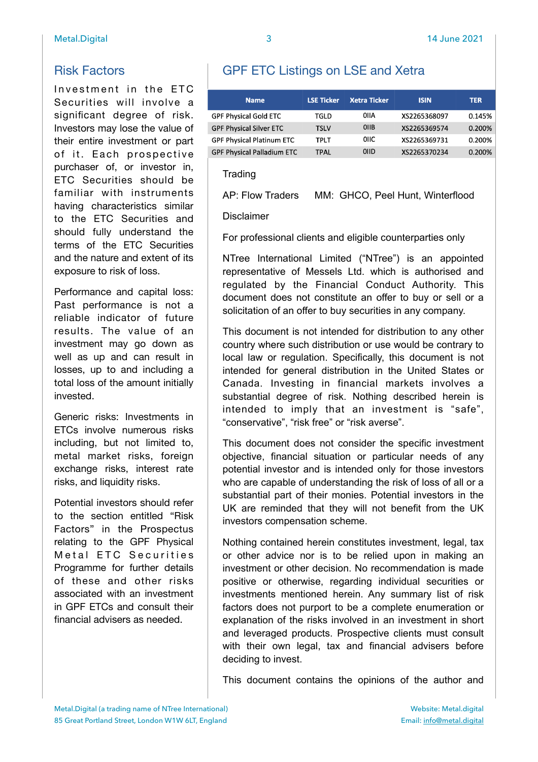Investment in the ETC Securities will involve a significant degree of risk. Investors may lose the value of their entire investment or part of it. Each prospective purchaser of, or investor in, ETC Securities should be familiar with instruments having characteristics similar to the ETC Securities and should fully understand the terms of the ETC Securities and the nature and extent of its exposure to risk of loss.

Performance and capital loss: Past performance is not a reliable indicator of future results. The value of an investment may go down as well as up and can result in losses, up to and including a total loss of the amount initially invested.

Generic risks: Investments in ETCs involve numerous risks including, but not limited to, metal market risks, foreign exchange risks, interest rate risks, and liquidity risks.

Potential investors should refer to the section entitled "Risk Factors" in the Prospectus relating to the GPF Physical Metal ETC Securities Programme for further details of these and other risks associated with an investment in GPF ETCs and consult their financial advisers as needed.

# GPF ETC Listings on LSE and Xetra

| <b>Name</b>                       | <b>LSE Ticker</b> | <b>Xetra Ticker</b> | <b>ISIN</b>  | <b>TER</b> |
|-----------------------------------|-------------------|---------------------|--------------|------------|
| <b>GPF Physical Gold ETC</b>      | TGLD              | OIIA                | XS2265368097 | 0.145%     |
| <b>GPF Physical Silver ETC</b>    | <b>TSLV</b>       | <b>OIIB</b>         | XS2265369574 | 0.200%     |
| <b>GPF Physical Platinum ETC</b>  | <b>TPLT</b>       | 0IIC.               | XS2265369731 | 0.200%     |
| <b>GPF Physical Palladium ETC</b> | TPAL              | <b>OIID</b>         | XS2265370234 | 0.200%     |

#### **Trading**

AP: Flow Traders MM: GHCO, Peel Hunt, Winterflood

Disclaimer

For professional clients and eligible counterparties only

NTree International Limited ("NTree") is an appointed representative of Messels Ltd. which is authorised and regulated by the Financial Conduct Authority. This document does not constitute an offer to buy or sell or a solicitation of an offer to buy securities in any company.

This document is not intended for distribution to any other country where such distribution or use would be contrary to local law or regulation. Specifically, this document is not intended for general distribution in the United States or Canada. Investing in financial markets involves a substantial degree of risk. Nothing described herein is intended to imply that an investment is "safe", "conservative", "risk free" or "risk averse".

This document does not consider the specific investment objective, financial situation or particular needs of any potential investor and is intended only for those investors who are capable of understanding the risk of loss of all or a substantial part of their monies. Potential investors in the UK are reminded that they will not benefit from the UK investors compensation scheme.

Nothing contained herein constitutes investment, legal, tax or other advice nor is to be relied upon in making an investment or other decision. No recommendation is made positive or otherwise, regarding individual securities or investments mentioned herein. Any summary list of risk factors does not purport to be a complete enumeration or explanation of the risks involved in an investment in short and leveraged products. Prospective clients must consult with their own legal, tax and financial advisers before deciding to invest.

This document contains the opinions of the author and